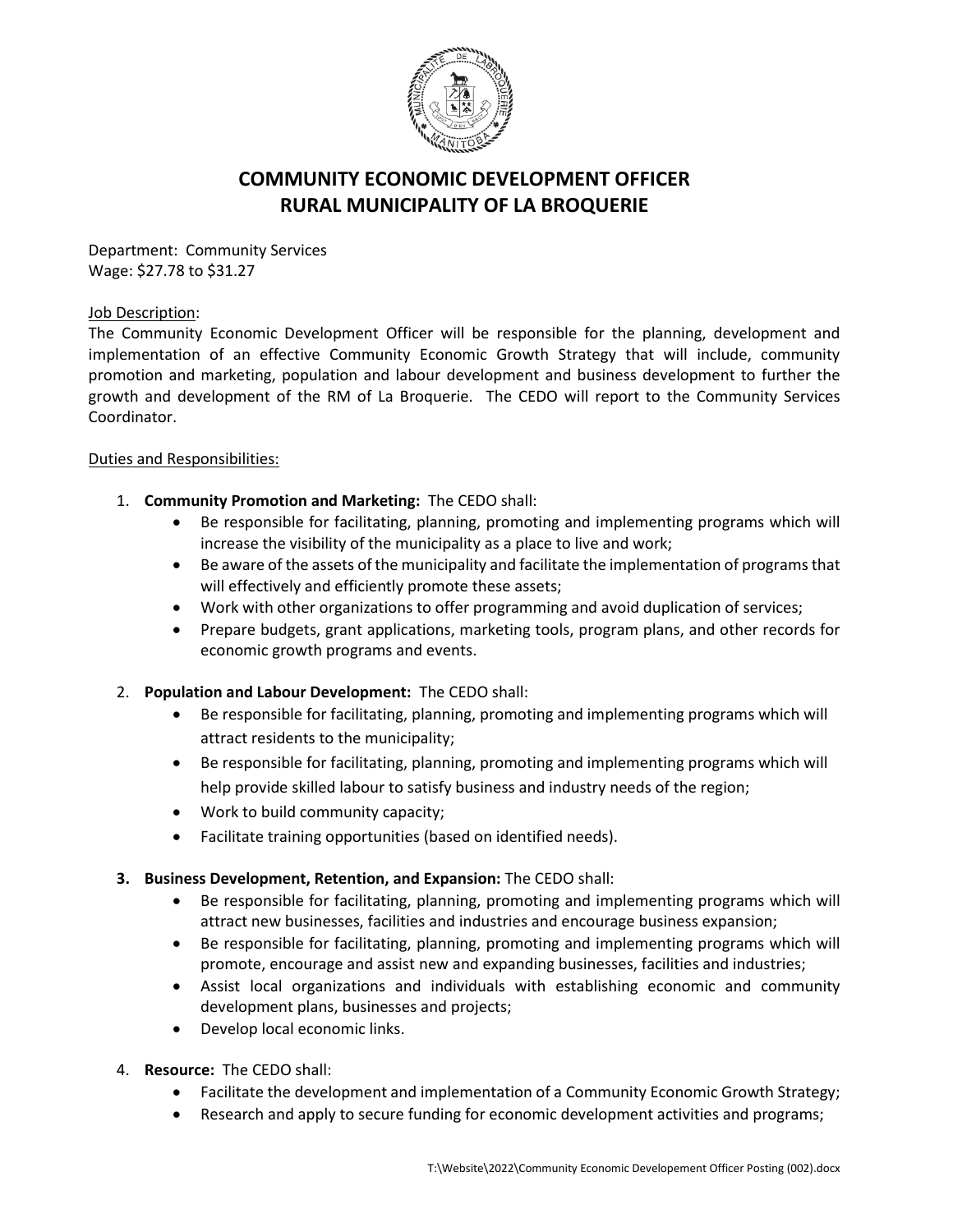

## **COMMUNITY ECONOMIC DEVELOPMENT OFFICER RURAL MUNICIPALITY OF LA BROQUERIE**

Department: Community Services Wage: \$27.78 to \$31.27

## Job Description:

The Community Economic Development Officer will be responsible for the planning, development and implementation of an effective Community Economic Growth Strategy that will include, community promotion and marketing, population and labour development and business development to further the growth and development of the RM of La Broquerie. The CEDO will report to the Community Services Coordinator.

## Duties and Responsibilities:

- 1. **Community Promotion and Marketing:** The CEDO shall:
	- Be responsible for facilitating, planning, promoting and implementing programs which will increase the visibility of the municipality as a place to live and work;
	- Be aware of the assets of the municipality and facilitate the implementation of programs that will effectively and efficiently promote these assets;
	- Work with other organizations to offer programming and avoid duplication of services;
	- Prepare budgets, grant applications, marketing tools, program plans, and other records for economic growth programs and events.
- 2. **Population and Labour Development:** The CEDO shall:
	- Be responsible for facilitating, planning, promoting and implementing programs which will attract residents to the municipality;
	- Be responsible for facilitating, planning, promoting and implementing programs which will help provide skilled labour to satisfy business and industry needs of the region;
	- Work to build community capacity;
	- Facilitate training opportunities (based on identified needs).
- **3. Business Development, Retention, and Expansion:** The CEDO shall:
	- Be responsible for facilitating, planning, promoting and implementing programs which will attract new businesses, facilities and industries and encourage business expansion;
	- Be responsible for facilitating, planning, promoting and implementing programs which will promote, encourage and assist new and expanding businesses, facilities and industries;
	- Assist local organizations and individuals with establishing economic and community development plans, businesses and projects;
	- Develop local economic links.
- 4. **Resource:** The CEDO shall:
	- Facilitate the development and implementation of a Community Economic Growth Strategy;
	- Research and apply to secure funding for economic development activities and programs;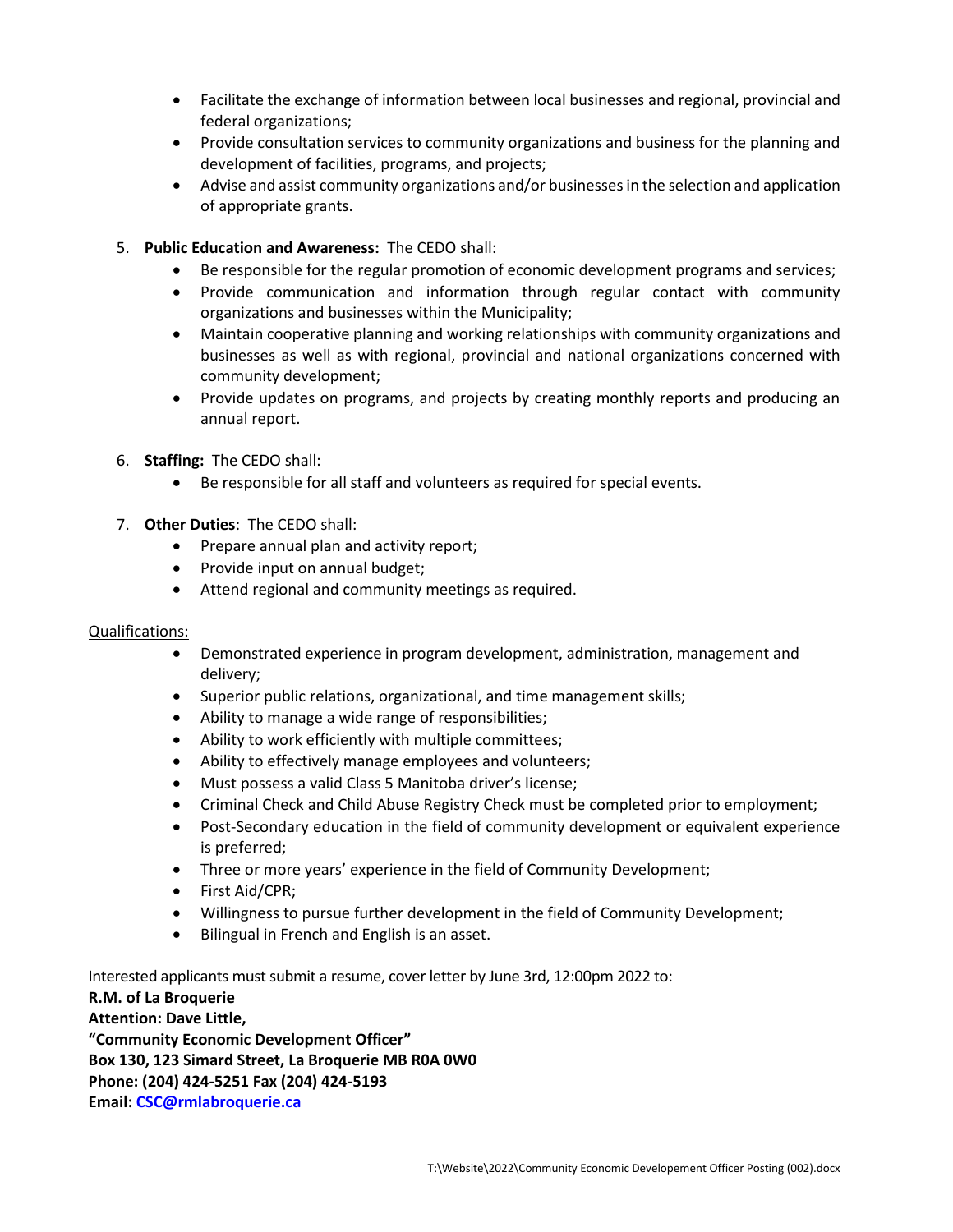- Facilitate the exchange of information between local businesses and regional, provincial and federal organizations;
- Provide consultation services to community organizations and business for the planning and development of facilities, programs, and projects;
- Advise and assist community organizations and/or businesses in the selection and application of appropriate grants.
- 5. **Public Education and Awareness:** The CEDO shall:
	- Be responsible for the regular promotion of economic development programs and services;
	- Provide communication and information through regular contact with community organizations and businesses within the Municipality;
	- Maintain cooperative planning and working relationships with community organizations and businesses as well as with regional, provincial and national organizations concerned with community development;
	- Provide updates on programs, and projects by creating monthly reports and producing an annual report.
- 6. **Staffing:** The CEDO shall:
	- Be responsible for all staff and volunteers as required for special events.
- 7. **Other Duties**: The CEDO shall:
	- Prepare annual plan and activity report;
	- Provide input on annual budget;
	- Attend regional and community meetings as required.

## Qualifications:

- Demonstrated experience in program development, administration, management and delivery;
- Superior public relations, organizational, and time management skills;
- Ability to manage a wide range of responsibilities;
- Ability to work efficiently with multiple committees;
- Ability to effectively manage employees and volunteers;
- Must possess a valid Class 5 Manitoba driver's license;
- Criminal Check and Child Abuse Registry Check must be completed prior to employment;
- Post-Secondary education in the field of community development or equivalent experience is preferred;
- Three or more years' experience in the field of Community Development;
- First Aid/CPR;
- Willingness to pursue further development in the field of Community Development;
- Bilingual in French and English is an asset.

Interested applicants must submit a resume, cover letter by June 3rd, 12:00pm 2022 to: **R.M. of La Broquerie Attention: Dave Little, "Community Economic Development Officer" Box 130, 123 Simard Street, La Broquerie MB R0A 0W0 Phone: (204) 424-5251 Fax (204) 424-5193 Email[: CSC@rmlabroquerie.ca](mailto:CSC@rmlabroquerie.ca)**